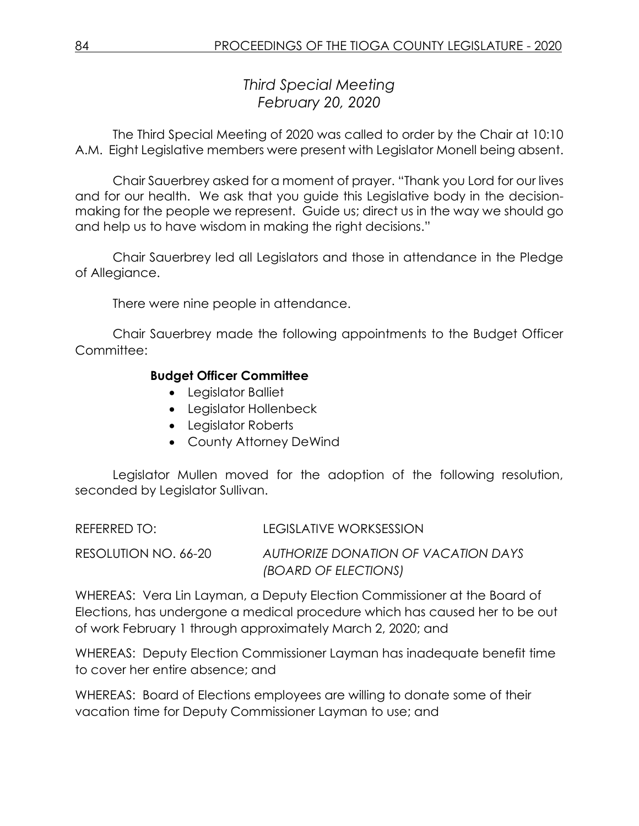*Third Special Meeting February 20, 2020*

The Third Special Meeting of 2020 was called to order by the Chair at 10:10 A.M. Eight Legislative members were present with Legislator Monell being absent.

Chair Sauerbrey asked for a moment of prayer. "Thank you Lord for our lives and for our health. We ask that you guide this Legislative body in the decisionmaking for the people we represent. Guide us; direct us in the way we should go and help us to have wisdom in making the right decisions."

Chair Sauerbrey led all Legislators and those in attendance in the Pledge of Allegiance.

There were nine people in attendance.

Chair Sauerbrey made the following appointments to the Budget Officer Committee:

## **Budget Officer Committee**

- Legislator Balliet
- Legislator Hollenbeck
- Leaislator Roberts
- County Attorney DeWind

Legislator Mullen moved for the adoption of the following resolution, seconded by Legislator Sullivan.

REFERRED TO: LEGISLATIVE WORKSESSION RESOLUTION NO. 66-20 *AUTHORIZE DONATION OF VACATION DAYS (BOARD OF ELECTIONS)*

WHEREAS: Vera Lin Layman, a Deputy Election Commissioner at the Board of Elections, has undergone a medical procedure which has caused her to be out of work February 1 through approximately March 2, 2020; and

WHEREAS: Deputy Election Commissioner Layman has inadequate benefit time to cover her entire absence; and

WHEREAS: Board of Elections employees are willing to donate some of their vacation time for Deputy Commissioner Layman to use; and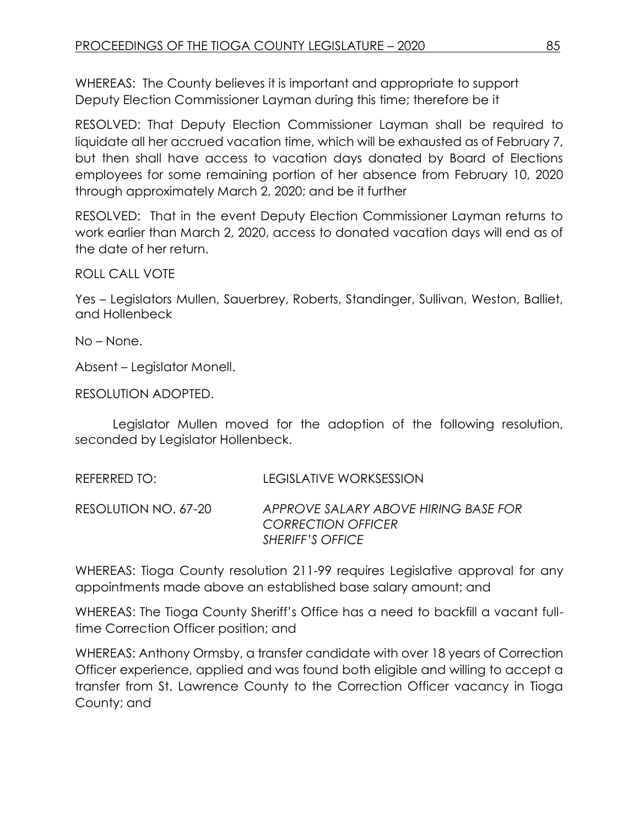WHEREAS: The County believes it is important and appropriate to support Deputy Election Commissioner Layman during this time; therefore be it

RESOLVED: That Deputy Election Commissioner Layman shall be required to liquidate all her accrued vacation time, which will be exhausted as of February 7, but then shall have access to vacation days donated by Board of Elections employees for some remaining portion of her absence from February 10, 2020 through approximately March 2, 2020; and be it further

RESOLVED: That in the event Deputy Election Commissioner Layman returns to work earlier than March 2, 2020, access to donated vacation days will end as of the date of her return.

ROLL CALL VOTE

Yes – Legislators Mullen, Sauerbrey, Roberts, Standinger, Sullivan, Weston, Balliet, and Hollenbeck

No – None.

Absent – Legislator Monell.

RESOLUTION ADOPTED.

Legislator Mullen moved for the adoption of the following resolution, seconded by Legislator Hollenbeck.

| REFERRED TO:         | LEGISLATIVE WORKSESSION                                                                      |
|----------------------|----------------------------------------------------------------------------------------------|
| RESOLUTION NO. 67-20 | APPROVE SALARY ABOVE HIRING BASE FOR<br><b>CORRECTION OFFICER</b><br><b>SHERIFF'S OFFICE</b> |

WHEREAS: Tioga County resolution 211-99 requires Legislative approval for any appointments made above an established base salary amount; and

WHEREAS: The Tioga County Sheriff's Office has a need to backfill a vacant fulltime Correction Officer position; and

WHEREAS: Anthony Ormsby, a transfer candidate with over 18 years of Correction Officer experience, applied and was found both eligible and willing to accept a transfer from St. Lawrence County to the Correction Officer vacancy in Tioga County; and